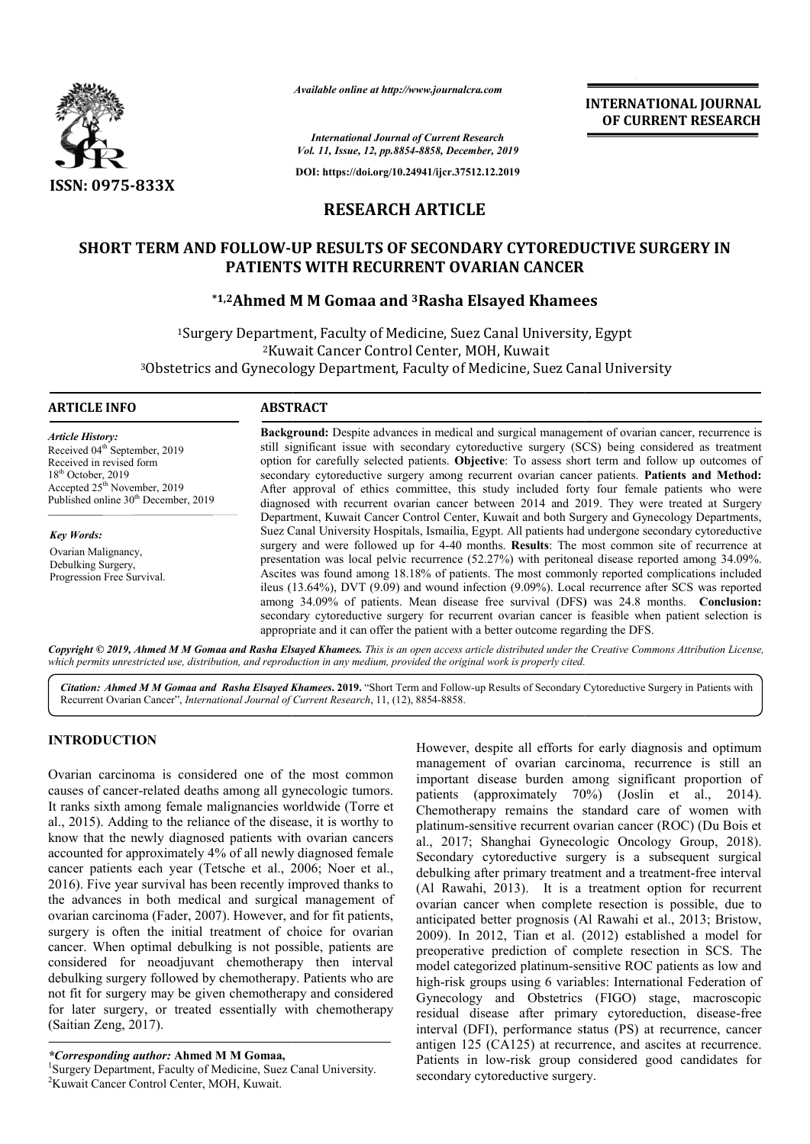

*Available online at http://www.journalcra.com*

*International Journal of Current Research Vol. 11, Issue, 12, pp.8854-8858, December, 2019*

**DOI: https://doi.org/10.24941/ijcr.37512.12.2019**

## **RESEARCH ARTICLE**

# **SHORT TERM AND FOLLOW-UP RESULTS OF SECONDARY CYTOREDUCTIVE SURGERY IN PATIENTS WITH RECURRENT OVARIAN CANCER FOLLOW-UP RESULTS OF SECONDARY CYTOREDUCTIVE PATIENTS WITH RECURRENT OVARIAN CANCER<br>\*1,2Ahmed M M Gomaa and <sup>3</sup>Rasha Elsayed Khamees**

<sup>1</sup>Surgery Department, Faculty of Medicine, Suez Canal University, Egypt 2Kuwait Cancer Control Center, MOH, Kuwait <sup>1</sup>Surgery Department, Faculty of Medicine, Suez Canal University, Egypt<br><sup>2</sup>Kuwait Cancer Control Center, MOH, Kuwait<br>3Obstetrics and Gynecology Department, Faculty of Medicine, Suez Canal University

### **ARTICLE INFO ABSTRACT**

*Article History:* Received 04<sup>th</sup> September, 2019 Received in revised form 18<sup>th</sup> October, 2019 Accepted  $25<sup>th</sup>$  November, 2019 Published online 30<sup>th</sup> December, 2019

*Key Words:* Ovarian Malignancy, Debulking Surgery, Progression Free Survival.

**Background:**  Despite advances in medical and surgical management of ovarian cancer, recurrence is still significant issue with secondary cytoreductive surgery (SCS) being considered as treatment option for carefully selected patients. **Objective**: To assess short term an secondary cytoreductive surgery among recurrent ovarian cancer patients. Patients and Method: After approval of ethics committee, this study included forty four female patients who were diagnosed with recurrent ovarian cancer betwee between 2014 and 2019. They were treated at Surgery Department, Kuwait Cancer Control Center, Kuwait and both Surgery and Gynecology Departments, Suez Canal University Hospitals, Ismailia, Egypt. All patients had undergone secondary cytoreductive surgery and were followed up for 4-40 months. **Results**: The most common site of recurrence at presentation was local pelvic recurrence (52.27%) with peritoneal disease reported among 34.09%. Ascites was found among 18.18% of patients. The most commonly reported complicati ileus (13.64%), DVT (9.09) and wound infection (9.09%). Local recurrence after SCS was reported ileus (13.64%), DVT (9.09) and wound infection (9.09%). Local recurrence after SCS was reported among 34.09% of patients. Mean disease free survival (DFS) was 24.8 months. **Conclusion:** secondary cytoreductive surgery for recurrent ovarian cancer is feasible when patient selection is secondary cytoreductive surgery for recurrent ovarian cancer is feasible when patient appropriate and it can offer the patient with a better outcome regarding the DFS. **Background:** Despite advances in medical and surgical management of ovarian cancer, recurrence is still significant issue with secondary cytoreductive surgery (SCS) being considered as treatment option for carefully selec After approval of ethics committee, this study included forty four female patients who were diagnosed with recurrent ovarian cancer between 2014 and 2019. They were treated at Surgery Department, Kuwait Cancer Control Cent

Copyright © 2019, Ahmed M M Gomaa and Rasha Elsayed Khamees. This is an open access article distributed under the Creative Commons Attribution License, which permits unrestricted use, distribution, and reproduction in any medium, provided the original work is properly cited.

Citation: Ahmed M M Gomaa and Rasha Elsayed Khamees. 2019. "Short Term and Follow-up Results of Secondary Cytoreductive Surgery in Patients with Recurrent Ovarian Cancer", *International Journal of Current Research*, 11, (12), 8854-8858.

### **INTRODUCTION**

Ovarian carcinoma is considered one of the most common causes of cancer-related deaths among all gynecologic tumors. causes of cancer-related deaths among all gynecologic tumors.<br>It ranks sixth among female malignancies worldwide (Torre et al., 2015). Adding to the reliance of the disease, it is worthy to know that the newly diagnosed patients with ovarian cancers accounted for approximately 4% of all newly diagnosed female al., 2015). Adding to the reliance of the disease, it is worthy to know that the newly diagnosed patients with ovarian cancers accounted for approximately 4% of all newly diagnosed female cancer patients each year (Tetsche 2016). Five year survival has been recently improved thanks to the advances in both medical and surgical management of ovarian carcinoma (Fader, 2007). However, and for fit patients, surgery is often the initial treatment of choice for ovarian cancer. When optimal debulking is not possible, patients are considered for neoadjuvant chemotherapy then interval debulking surgery followed by chemotherapy. Patients who are not fit for surgery may be given chemotherapy and considered for later surgery, or treated essentially with chemotherapy (Saitian Zeng, 2017). 7). However, and for fit patients,<br>eatment of choice for ovarian<br>ng is not possible, patients are<br>chemotherapy then interval<br>chemotherapy. Patients who are<br>n chemotherapy and considered<br>essentially with chemotherapy

*\*Corresponding author:* **Ahmed M M Gomaa,** <sup>1</sup>

Surgery Department, Faculty of Medicine, Suez Canal University. 2 Kuwait Cancer Control Center, MOH, Kuwait.

However, despite all efforts for early diagnosis and optimum management of ovarian carcinoma, recurrence is still an important disease burden among significant proportion of patients (approximately 70%) (Joslin et al., 2014). Chemotherapy remains the standard care of women with Chemotherapy remains the standard care of women with platinum-sensitive recurrent ovarian cancer (ROC) (Du Bois et al., 2017; Shanghai Gynecologic Oncology Group 2017; Group, 2018). Secondary cytoreductive surgery is a subsequent surgical debulking after primary treatment and a treatment-free interval (Al Rawahi, 2013). It is a treatment option for recurrent ovarian cancer when complete resection is possible, due to anticipated better prognosis (Al Rawahi et al., 2013; Bristow, 2009). In 2012, Tian et al. (2012) established a model for preoperative prediction of complete resection in SCS. The model categorized platinum-sensitive ROC patients as low and high-risk groups using 6 variables: International Federation of Gynecology and Obstetrics (FIGO) stage, macroscopic residual disease after primary cytoreduction, disease-free interval (DFI), performance status (PS) at recurrence, cancer antigen 125 (CA125) at recurrence, and ascites at recurrence. Patients in low-risk group considered good candidates for secondary cytoreductive surgery. However, despite all efforts for early diagnosis and optimum<br>management of ovarian carcinoma, recurrence is still an<br>important disease burden among significant proportion of<br>patients (approximately 70%) (Joslin et al., 201 (Al Rawahi, 2013). It is a treatment option for recurrent ovarian cancer when complete resection is possible, due to anticipated better prognosis (Al Rawahi et al., 2013; Bristow, preoperative prediction of complete resection in SCS. The model categorized platinum-sensitive ROC patients as low and high-risk groups using 6 variables: International Federation of Gynecology and Obstetrics (FIGO) stage, INTERNATIONAL JOURNAL<br>
Research<br>
OF CURRENT RESEARCH<br>
Context<br>
Context y of CURRENT RESEARCH<br>
Context<br>
Context y of CURRENT RESEARCH<br>
LEE<br>
LEE<br>
LEE<br>
LEE<br>
Elsayed Khamees<br>
Elsayed Khamees<br>
Elsayed Khamees<br>
MOH, Kuwait<br>
MOH,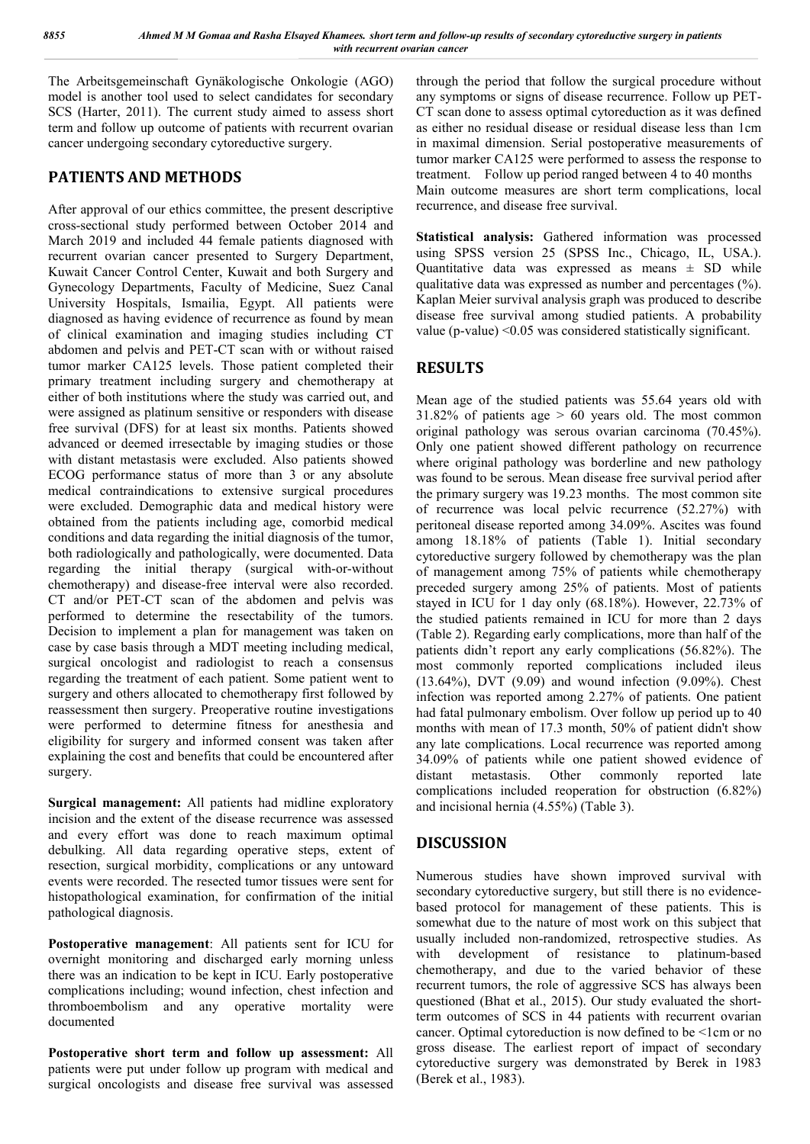The Arbeitsgemeinschaft Gynäkologische Onkologie (AGO) model is another tool used to select candidates for secondary SCS (Harter, 2011). The current study aimed to assess short term and follow up outcome of patients with recurrent ovarian cancer undergoing secondary cytoreductive surgery.

## **PATIENTS AND METHODS**

After approval of our ethics committee, the present descriptive cross-sectional study performed between October 2014 and March 2019 and included 44 female patients diagnosed with recurrent ovarian cancer presented to Surgery Department, Kuwait Cancer Control Center, Kuwait and both Surgery and Gynecology Departments, Faculty of Medicine, Suez Canal University Hospitals, Ismailia, Egypt. All patients were diagnosed as having evidence of recurrence as found by mean of clinical examination and imaging studies including CT abdomen and pelvis and PET-CT scan with or without raised tumor marker CA125 levels. Those patient completed their primary treatment including surgery and chemotherapy at either of both institutions where the study was carried out, and were assigned as platinum sensitive or responders with disease free survival (DFS) for at least six months. Patients showed advanced or deemed irresectable by imaging studies or those with distant metastasis were excluded. Also patients showed ECOG performance status of more than 3 or any absolute medical contraindications to extensive surgical procedures were excluded. Demographic data and medical history were obtained from the patients including age, comorbid medical conditions and data regarding the initial diagnosis of the tumor, both radiologically and pathologically, were documented. Data regarding the initial therapy (surgical with-or-without chemotherapy) and disease-free interval were also recorded. CT and/or PET-CT scan of the abdomen and pelvis was performed to determine the resectability of the tumors. Decision to implement a plan for management was taken on case by case basis through a MDT meeting including medical, surgical oncologist and radiologist to reach a consensus regarding the treatment of each patient. Some patient went to surgery and others allocated to chemotherapy first followed by reassessment then surgery. Preoperative routine investigations were performed to determine fitness for anesthesia and eligibility for surgery and informed consent was taken after explaining the cost and benefits that could be encountered after surgery.

**Surgical management:** All patients had midline exploratory incision and the extent of the disease recurrence was assessed and every effort was done to reach maximum optimal debulking. All data regarding operative steps, extent of resection, surgical morbidity, complications or any untoward events were recorded. The resected tumor tissues were sent for histopathological examination, for confirmation of the initial pathological diagnosis.

**Postoperative management**: All patients sent for ICU for overnight monitoring and discharged early morning unless there was an indication to be kept in ICU. Early postoperative complications including; wound infection, chest infection and thromboembolism and any operative mortality were documented

**Postoperative short term and follow up assessment:** All patients were put under follow up program with medical and surgical oncologists and disease free survival was assessed through the period that follow the surgical procedure without any symptoms or signs of disease recurrence. Follow up PET-CT scan done to assess optimal cytoreduction as it was defined as either no residual disease or residual disease less than 1cm in maximal dimension. Serial postoperative measurements of tumor marker CA125 were performed to assess the response to treatment. Follow up period ranged between 4 to 40 months Main outcome measures are short term complications, local recurrence, and disease free survival.

**Statistical analysis:** Gathered information was processed using SPSS version 25 (SPSS Inc., Chicago, IL, USA.). Quantitative data was expressed as means  $\pm$  SD while qualitative data was expressed as number and percentages (%). Kaplan Meier survival analysis graph was produced to describe disease free survival among studied patients. A probability value (p-value) <0.05 was considered statistically significant.

## **RESULTS**

Mean age of the studied patients was 55.64 years old with  $31.82\%$  of patients age  $> 60$  years old. The most common original pathology was serous ovarian carcinoma (70.45%). Only one patient showed different pathology on recurrence where original pathology was borderline and new pathology was found to be serous. Mean disease free survival period after the primary surgery was 19.23 months. The most common site of recurrence was local pelvic recurrence (52.27%) with peritoneal disease reported among 34.09%. Ascites was found among 18.18% of patients (Table 1). Initial secondary cytoreductive surgery followed by chemotherapy was the plan of management among 75% of patients while chemotherapy preceded surgery among 25% of patients. Most of patients stayed in ICU for 1 day only (68.18%). However, 22.73% of the studied patients remained in ICU for more than 2 days (Table 2). Regarding early complications, more than half of the patients didn't report any early complications (56.82%). The most commonly reported complications included ileus (13.64%), DVT (9.09) and wound infection (9.09%). Chest infection was reported among 2.27% of patients. One patient had fatal pulmonary embolism. Over follow up period up to 40 months with mean of 17.3 month, 50% of patient didn't show any late complications. Local recurrence was reported among 34.09% of patients while one patient showed evidence of distant metastasis. Other commonly reported late complications included reoperation for obstruction (6.82%) and incisional hernia (4.55%) (Table 3).

## **DISCUSSION**

Numerous studies have shown improved survival with secondary cytoreductive surgery, but still there is no evidencebased protocol for management of these patients. This is somewhat due to the nature of most work on this subject that usually included non-randomized, retrospective studies. As<br>with development of resistance to platinum-based with development of resistance to chemotherapy, and due to the varied behavior of these recurrent tumors, the role of aggressive SCS has always been questioned (Bhat et al., 2015). Our study evaluated the shortterm outcomes of SCS in 44 patients with recurrent ovarian cancer. Optimal cytoreduction is now defined to be <1cm or no gross disease. The earliest report of impact of secondary cytoreductive surgery was demonstrated by Berek in 1983 (Berek et al., 1983).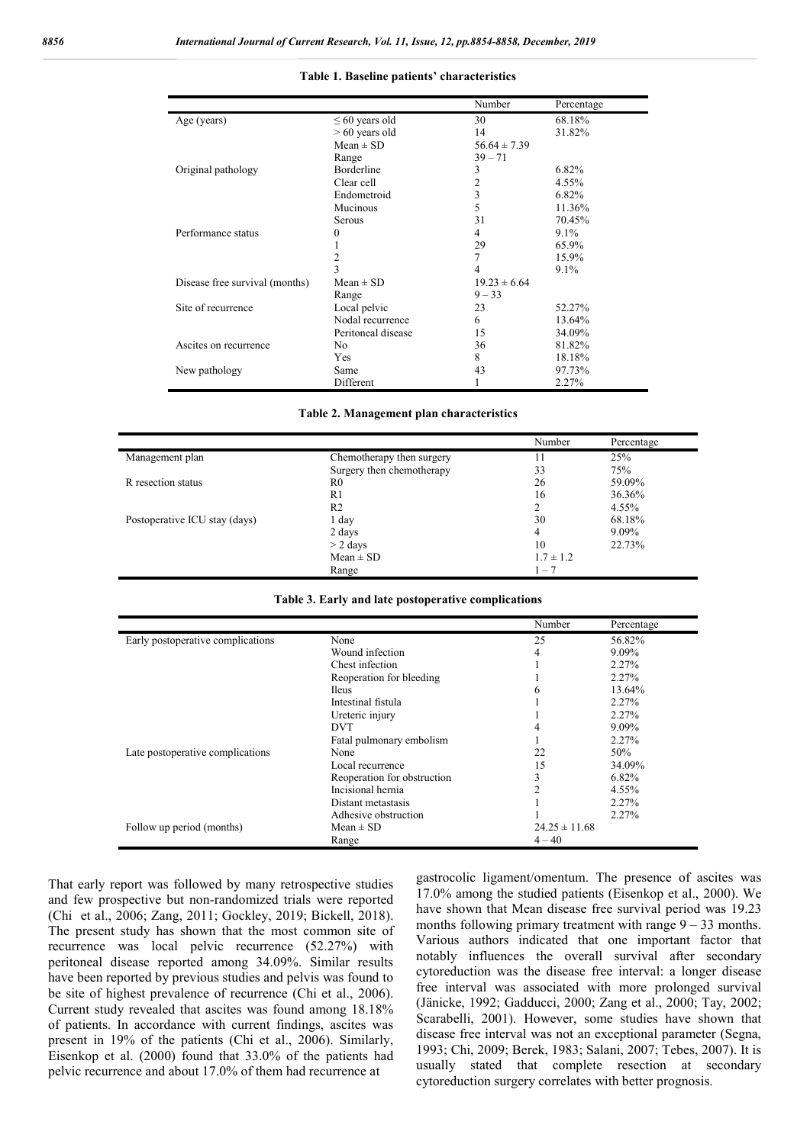|                                |                     | Number           | Percentage |  |
|--------------------------------|---------------------|------------------|------------|--|
| Age (years)                    | $\leq 60$ years old | 30               | 68.18%     |  |
|                                | $> 60$ years old    | 14               | 31.82%     |  |
|                                | $Mean \pm SD$       | $56.64 \pm 7.39$ |            |  |
|                                | Range               | $39 - 71$        |            |  |
| Original pathology             | <b>Borderline</b>   | 3                | 6.82%      |  |
|                                | Clear cell          | 2                | 4.55%      |  |
|                                | Endometroid         | 3                | 6.82%      |  |
|                                | Mucinous            | 5                | 11.36%     |  |
|                                | Serous              | 31               | 70.45%     |  |
| Performance status             | 0                   | 4                | $9.1\%$    |  |
|                                |                     | 29               | 65.9%      |  |
|                                | 2                   | 7                | 15.9%      |  |
|                                | 3                   | 4                | 9.1%       |  |
| Disease free survival (months) | $Mean \pm SD$       | $19.23 \pm 6.64$ |            |  |
|                                | Range               | $9 - 33$         |            |  |
| Site of recurrence             | Local pelvic        | 23               | 52.27%     |  |
|                                | Nodal recurrence    | 6                | 13.64%     |  |
|                                | Peritoneal disease  | 15               | 34.09%     |  |
| Ascites on recurrence          | No.                 | 36               | 81.82%     |  |
|                                | Yes                 | 8                | 18.18%     |  |
| New pathology                  | Same                | 43               | 97.73%     |  |
|                                | Different           |                  | 2.27%      |  |

#### **Table 1. Baseline patients' characteristics**

#### **Table 2. Management plan characteristics**

|                               |                           | Number        | Percentage |
|-------------------------------|---------------------------|---------------|------------|
| Management plan               | Chemotherapy then surgery | 11            | 25%        |
|                               | Surgery then chemotherapy | 33            | 75%        |
| R resection status            | R0                        | 26            | 59.09%     |
|                               | R1                        | 16            | 36.36%     |
|                               | R2                        | 2             | 4.55%      |
| Postoperative ICU stay (days) | 1 day                     | 30            | 68.18%     |
|                               | 2 days                    | 4             | 9.09%      |
|                               | $>$ 2 days                | 10            | 22.73%     |
|                               | $Mean \pm SD$             | $1.7 \pm 1.2$ |            |
|                               | Range                     | $1 - 7$       |            |

#### **Table 3. Early and late postoperative complications**

|                                   |                             | Number            | Percentage |
|-----------------------------------|-----------------------------|-------------------|------------|
| Early postoperative complications | None                        | 25                | 56.82%     |
|                                   | Wound infection             | 4                 | $9.09\%$   |
|                                   | Chest infection             |                   | 2.27%      |
|                                   | Reoperation for bleeding    |                   | 2.27%      |
|                                   | <b>Ileus</b>                | 6                 | 13.64%     |
|                                   | Intestinal fistula          |                   | 2.27%      |
|                                   | Ureteric injury             |                   | 2.27%      |
|                                   | <b>DVT</b>                  | 4                 | $9.09\%$   |
|                                   | Fatal pulmonary embolism    |                   | 2.27%      |
| Late postoperative complications  | None                        | 22                | 50%        |
|                                   | Local recurrence            | 15                | 34.09%     |
|                                   | Reoperation for obstruction | 3                 | 6.82%      |
|                                   | Incisional hernia           | ↑                 | 4.55%      |
|                                   | Distant metastasis          |                   | 2.27%      |
|                                   | Adhesive obstruction        |                   | 2.27%      |
| Follow up period (months)         | $Mean \pm SD$               | $24.25 \pm 11.68$ |            |
|                                   | Range                       | $4 - 40$          |            |

That early report was followed by many retrospective studies and few prospective but non-randomized trials were reported (Chi et al., 2006; Zang, 2011; Gockley, 2019; Bickell, 2018). The present study has shown that the most common site of recurrence was local pelvic recurrence (52.27%) with peritoneal disease reported among 34.09%. Similar results have been reported by previous studies and pelvis was found to be site of highest prevalence of recurrence (Chi et al., 2006). Current study revealed that ascites was found among 18.18% of patients. In accordance with current findings, ascites was present in 19% of the patients (Chi et al., 2006). Similarly, Eisenkop et al. (2000) found that 33.0% of the patients had pelvic recurrence and about 17.0% of them had recurrence at

gastrocolic ligament/omentum. The presence of ascites was 17.0% among the studied patients (Eisenkop et al., 2000). We have shown that Mean disease free survival period was 19.23 months following primary treatment with range  $9 - 33$  months. Various authors indicated that one important factor that notably influences the overall survival after secondary cytoreduction was the disease free interval: a longer disease free interval was associated with more prolonged survival (Jänicke, 1992; Gadducci, 2000; Zang et al., 2000; Tay, 2002; Scarabelli, 2001). However, some studies have shown that disease free interval was not an exceptional parameter (Segna, 1993; Chi, 2009; Berek, 1983; Salani, 2007; Tebes, 2007). It is usually stated that complete resection at secondary cytoreduction surgery correlates with better prognosis.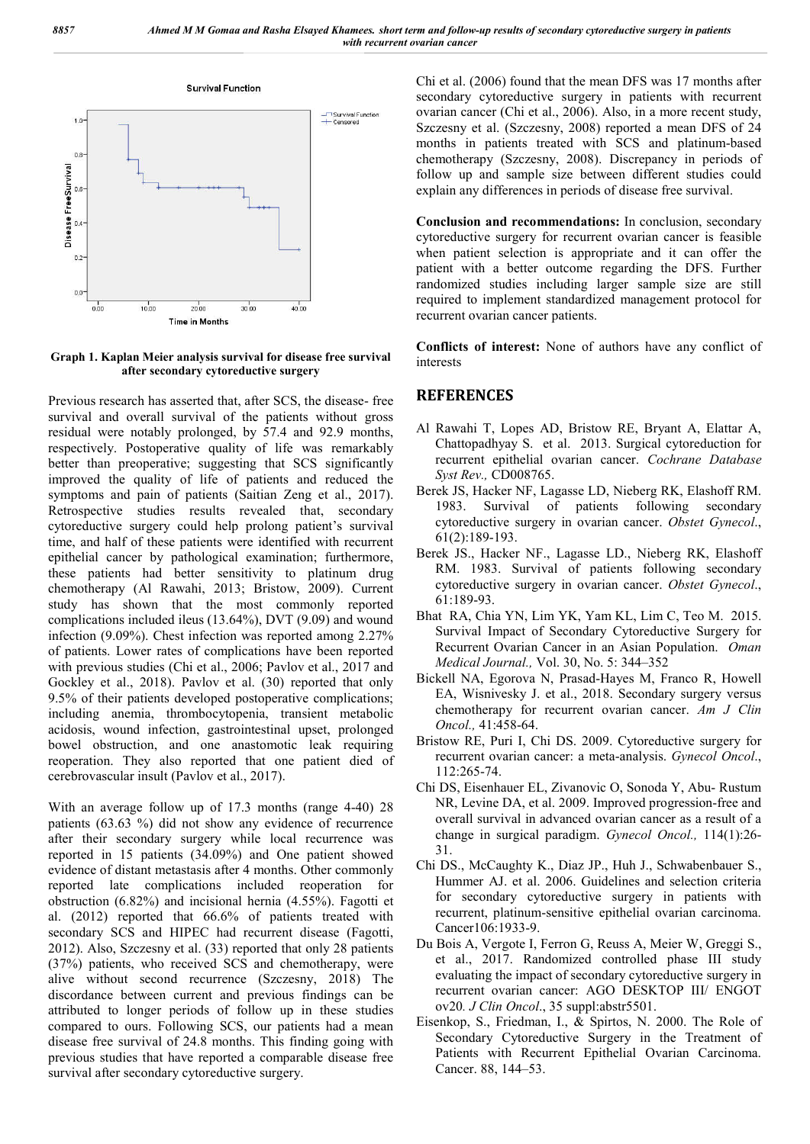

**Graph 1. Kaplan Meier analysis survival for disease free survival after secondary cytoreductive surgery**

Previous research has asserted that, after SCS, the disease- free survival and overall survival of the patients without gross residual were notably prolonged, by 57.4 and 92.9 months, respectively. Postoperative quality of life was remarkably better than preoperative; suggesting that SCS significantly improved the quality of life of patients and reduced the symptoms and pain of patients (Saitian Zeng et al., 2017). Retrospective studies results revealed that, secondary cytoreductive surgery could help prolong patient's survival time, and half of these patients were identified with recurrent epithelial cancer by pathological examination; furthermore, these patients had better sensitivity to platinum drug chemotherapy (Al Rawahi, 2013; Bristow, 2009). Current study has shown that the most commonly reported complications included ileus (13.64%), DVT (9.09) and wound infection (9.09%). Chest infection was reported among 2.27% of patients. Lower rates of complications have been reported with previous studies (Chi et al., 2006; Pavlov et al., 2017 and Gockley et al., 2018). Pavlov et al. (30) reported that only 9.5% of their patients developed postoperative complications; including anemia, thrombocytopenia, transient metabolic acidosis, wound infection, gastrointestinal upset, prolonged bowel obstruction, and one anastomotic leak requiring reoperation. They also reported that one patient died of cerebrovascular insult (Pavlov et al., 2017).

With an average follow up of 17.3 months (range 4-40) 28 patients (63.63 %) did not show any evidence of recurrence after their secondary surgery while local recurrence was reported in 15 patients (34.09%) and One patient showed evidence of distant metastasis after 4 months. Other commonly reported late complications included reoperation for obstruction (6.82%) and incisional hernia (4.55%). Fagotti et al. (2012) reported that 66.6% of patients treated with secondary SCS and HIPEC had recurrent disease (Fagotti, 2012). Also, Szczesny et al. (33) reported that only 28 patients (37%) patients, who received SCS and chemotherapy, were alive without second recurrence (Szczesny, 2018) The discordance between current and previous findings can be attributed to longer periods of follow up in these studies compared to ours. Following SCS, our patients had a mean disease free survival of 24.8 months. This finding going with previous studies that have reported a comparable disease free survival after secondary cytoreductive surgery.

Chi et al. (2006) found that the mean DFS was 17 months after secondary cytoreductive surgery in patients with recurrent ovarian cancer (Chi et al., 2006). Also, in a more recent study, Szczesny et al. (Szczesny, 2008) reported a mean DFS of 24 months in patients treated with SCS and platinum-based chemotherapy (Szczesny, 2008). Discrepancy in periods of follow up and sample size between different studies could explain any differences in periods of disease free survival.

**Conclusion and recommendations:** In conclusion, secondary cytoreductive surgery for recurrent ovarian cancer is feasible when patient selection is appropriate and it can offer the patient with a better outcome regarding the DFS. Further randomized studies including larger sample size are still required to implement standardized management protocol for recurrent ovarian cancer patients.

**Conflicts of interest:** None of authors have any conflict of interests

## **REFERENCES**

- Al Rawahi T, Lopes AD, Bristow RE, Bryant A, Elattar A, Chattopadhyay S. et al. 2013. Surgical cytoreduction for recurrent epithelial ovarian cancer. *Cochrane Database Syst Rev.,* CD008765.
- Berek JS, Hacker NF, Lagasse LD, Nieberg RK, Elashoff RM. 1983. Survival of patients following secondary cytoreductive surgery in ovarian cancer. *Obstet Gynecol*., 61(2):189-193.
- Berek JS., Hacker NF., Lagasse LD., Nieberg RK, Elashoff RM. 1983. Survival of patients following secondary cytoreductive surgery in ovarian cancer. *Obstet Gynecol*., 61:189-93.
- Bhat RA, Chia YN, Lim YK, Yam KL, Lim C, Teo M. 2015. Survival Impact of Secondary Cytoreductive Surgery for Recurrent Ovarian Cancer in an Asian Population. *Oman Medical Journal.,* Vol. 30, No. 5: 344–352
- Bickell NA, Egorova N, Prasad-Hayes M, Franco R, Howell EA, Wisnivesky J. et al., 2018. Secondary surgery versus chemotherapy for recurrent ovarian cancer. *Am J Clin Oncol.,* 41:458-64.
- Bristow RE, Puri I, Chi DS. 2009. Cytoreductive surgery for recurrent ovarian cancer: a meta-analysis. *Gynecol Oncol*., 112:265-74.
- Chi DS, Eisenhauer EL, Zivanovic O, Sonoda Y, Abu- Rustum NR, Levine DA, et al. 2009. Improved progression-free and overall survival in advanced ovarian cancer as a result of a change in surgical paradigm. *Gynecol Oncol.,* 114(1):26- 31.
- Chi DS., McCaughty K., Diaz JP., Huh J., Schwabenbauer S., Hummer AJ. et al. 2006. Guidelines and selection criteria for secondary cytoreductive surgery in patients with recurrent, platinum-sensitive epithelial ovarian carcinoma. Cancer106:1933-9.
- Du Bois A, Vergote I, Ferron G, Reuss A, Meier W, Greggi S., et al., 2017. Randomized controlled phase III study evaluating the impact of secondary cytoreductive surgery in recurrent ovarian cancer: AGO DESKTOP III/ ENGOT ov20*. J Clin Oncol*., 35 suppl:abstr5501.
- Eisenkop, S., Friedman, I., & Spirtos, N. 2000. The Role of Secondary Cytoreductive Surgery in the Treatment of Patients with Recurrent Epithelial Ovarian Carcinoma. Cancer. 88, 144–53.